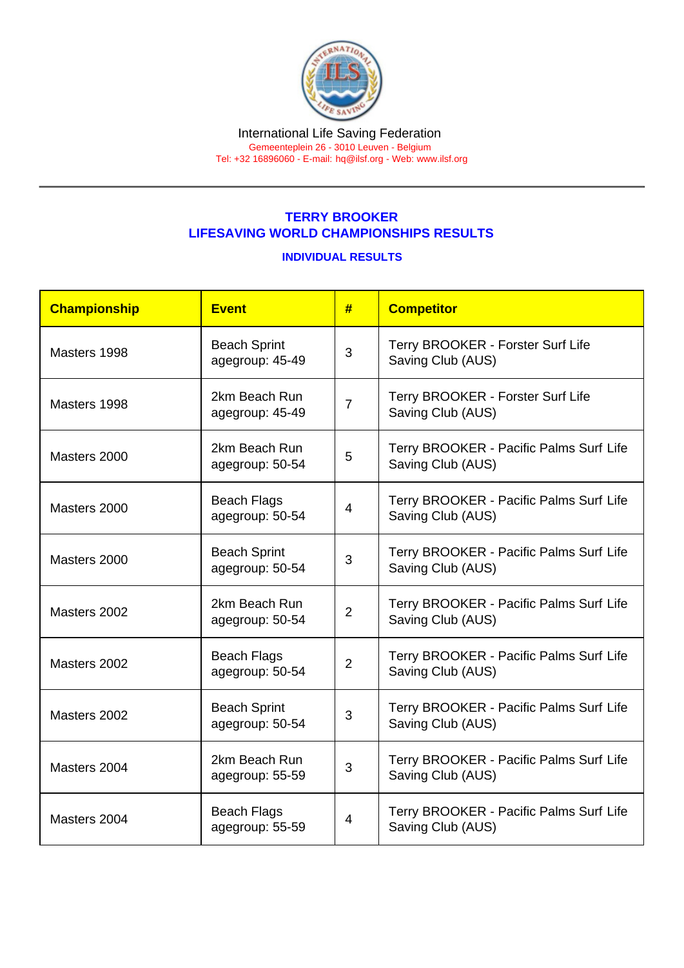Tel: +32 16896060 - E-mail: [hq@ilsf.org](mailto:hq@ilsf.org) - Web: [www.ilsf.org](https://www.ilsf.org)

## TERRY BROOKER LIFESAVING WORLD CHAMPIONSHIPS RESULTS

## INDIVIDUAL RESULTS

| Championship | <b>Event</b>                           | #              | <b>Competitor</b>                                            |
|--------------|----------------------------------------|----------------|--------------------------------------------------------------|
| Masters 1998 | <b>Beach Sprint</b><br>agegroup: 45-49 | 3              | Terry BROOKER - Forster Surf Life<br>Saving Club (AUS)       |
| Masters 1998 | 2km Beach Run<br>agegroup: 45-49       | $\overline{7}$ | Terry BROOKER - Forster Surf Life<br>Saving Club (AUS)       |
| Masters 2000 | 2km Beach Run<br>agegroup: 50-54       | 5              | Terry BROOKER - Pacific Palms Surf Life<br>Saving Club (AUS) |
| Masters 2000 | <b>Beach Flags</b><br>agegroup: 50-54  | 4              | Terry BROOKER - Pacific Palms Surf Life<br>Saving Club (AUS) |
| Masters 2000 | <b>Beach Sprint</b><br>agegroup: 50-54 | 3              | Terry BROOKER - Pacific Palms Surf Life<br>Saving Club (AUS) |
| Masters 2002 | 2km Beach Run<br>agegroup: 50-54       | $\overline{2}$ | Terry BROOKER - Pacific Palms Surf Life<br>Saving Club (AUS) |
| Masters 2002 | <b>Beach Flags</b><br>agegroup: 50-54  | $\overline{2}$ | Terry BROOKER - Pacific Palms Surf Life<br>Saving Club (AUS) |
| Masters 2002 | <b>Beach Sprint</b><br>agegroup: 50-54 | 3              | Terry BROOKER - Pacific Palms Surf Life<br>Saving Club (AUS) |
| Masters 2004 | 2km Beach Run<br>agegroup: 55-59       | 3              | Terry BROOKER - Pacific Palms Surf Life<br>Saving Club (AUS) |
| Masters 2004 | <b>Beach Flags</b><br>agegroup: 55-59  | 4              | Terry BROOKER - Pacific Palms Surf Life<br>Saving Club (AUS) |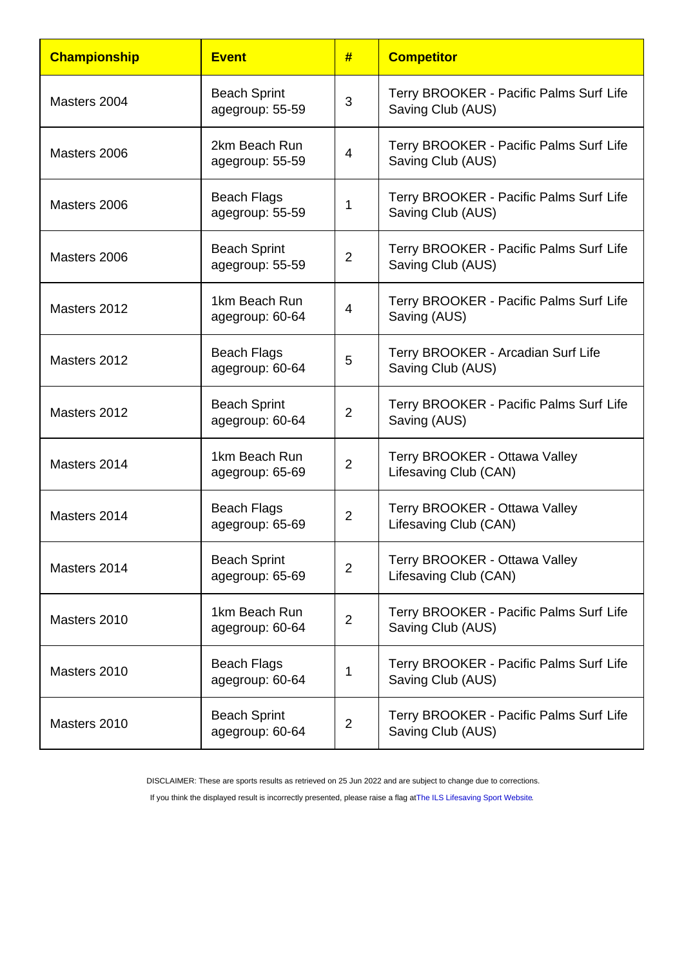| Championship | Event                                  | #              | <b>Competitor</b>                                            |
|--------------|----------------------------------------|----------------|--------------------------------------------------------------|
| Masters 2004 | <b>Beach Sprint</b><br>agegroup: 55-59 | 3              | Terry BROOKER - Pacific Palms Surf Life<br>Saving Club (AUS) |
| Masters 2006 | 2km Beach Run<br>agegroup: 55-59       | 4              | Terry BROOKER - Pacific Palms Surf Life<br>Saving Club (AUS) |
| Masters 2006 | <b>Beach Flags</b><br>agegroup: 55-59  | 1              | Terry BROOKER - Pacific Palms Surf Life<br>Saving Club (AUS) |
| Masters 2006 | <b>Beach Sprint</b><br>agegroup: 55-59 | $\overline{2}$ | Terry BROOKER - Pacific Palms Surf Life<br>Saving Club (AUS) |
| Masters 2012 | 1km Beach Run<br>agegroup: 60-64       | 4              | Terry BROOKER - Pacific Palms Surf Life<br>Saving (AUS)      |
| Masters 2012 | <b>Beach Flags</b><br>agegroup: 60-64  | 5              | Terry BROOKER - Arcadian Surf Life<br>Saving Club (AUS)      |
| Masters 2012 | <b>Beach Sprint</b><br>agegroup: 60-64 | $\overline{2}$ | Terry BROOKER - Pacific Palms Surf Life<br>Saving (AUS)      |
| Masters 2014 | 1km Beach Run<br>agegroup: 65-69       | $\overline{2}$ | Terry BROOKER - Ottawa Valley<br>Lifesaving Club (CAN)       |
| Masters 2014 | <b>Beach Flags</b><br>agegroup: 65-69  | $\overline{2}$ | Terry BROOKER - Ottawa Valley<br>Lifesaving Club (CAN)       |
| Masters 2014 | <b>Beach Sprint</b><br>agegroup: 65-69 | $\overline{2}$ | Terry BROOKER - Ottawa Valley<br>Lifesaving Club (CAN)       |
| Masters 2010 | 1km Beach Run<br>agegroup: 60-64       | $\overline{2}$ | Terry BROOKER - Pacific Palms Surf Life<br>Saving Club (AUS) |
| Masters 2010 | <b>Beach Flags</b><br>agegroup: 60-64  | 1              | Terry BROOKER - Pacific Palms Surf Life<br>Saving Club (AUS) |
| Masters 2010 | <b>Beach Sprint</b><br>agegroup: 60-64 | $\overline{2}$ | Terry BROOKER - Pacific Palms Surf Life<br>Saving Club (AUS) |

DISCLAIMER: These are sports results as retrieved on 25 Jun 2022 and are subject to change due to corrections.

If you think the displayed result is incorrectly presented, please raise a flag at [The ILS Lifesaving Sport Website.](https://sport.ilsf.org)